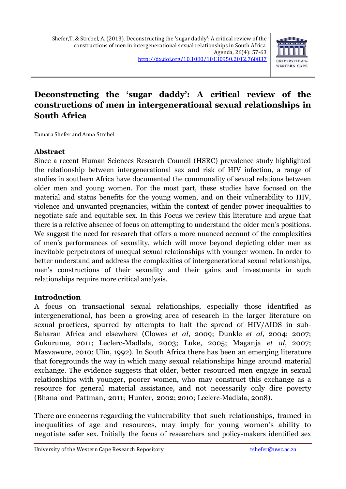## **Deconstructing the 'sugar daddy': A critical review of the constructions of men in intergenerational sexual relationships in South Africa**

Tamara Shefer and Anna Strebel

### **Abstract**

Since a recent Human Sciences Research Council (HSRC) prevalence study highlighted the relationship between intergenerational sex and risk of HIV infection, a range of studies in southern Africa have documented the commonality of sexual relations between older men and young women. For the most part, these studies have focused on the material and status benefits for the young women, and on their vulnerability to HIV, violence and unwanted pregnancies, within the context of gender power inequalities to negotiate safe and equitable sex. In this Focus we review this literature and argue that there is a relative absence of focus on attempting to understand the older men's positions. We suggest the need for research that offers a more nuanced account of the complexities of men's performances of sexuality, which will move beyond depicting older men as inevitable perpetrators of unequal sexual relationships with younger women. In order to better understand and address the complexities of intergenerational sexual relationships, men's constructions of their sexuality and their gains and investments in such relationships require more critical analysis.

#### **Introduction**

A focus on transactional sexual relationships, especially those identified as intergenerational, has been a growing area of research in the larger literature on sexual practices, spurred by attempts to halt the spread of HIV/AIDS in sub-Saharan Africa and elsewhere (Clowes *et al*, 2009; Dunkle *et al*, 2004; 2007; Gukurume, 2011; Leclerc-Madlala, 2003; Luke, 2005; Maganja *et al*, 2007; Masvawure, 2010; Ulin, 1992). In South Africa there has been an emerging literature that foregrounds the way in which many sexual relationships hinge around material exchange. The evidence suggests that older, better resourced men engage in sexual relationships with younger, poorer women, who may construct this exchange as a resource for general material assistance, and not necessarily only dire poverty (Bhana and Pattman, 2011; Hunter, 2002; 2010; Leclerc-Madlala, 2008).

There are concerns regarding the vulnerability that such relationships, framed in inequalities of age and resources, may imply for young women's ability to negotiate safer sex. Initially the focus of researchers and policy-makers identified sex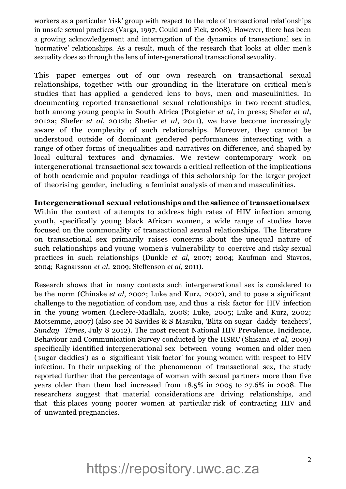workers as a particular *'*risk*'* group with respect to the role of transactional relationships in unsafe sexual practices (Varga, 1997; Gould and Fick, 2008). However, there has been a growing acknowledgement and interrogation of the dynamics of transactional sex in *'*normative*'* relationships. As a result, much of the research that looks at older men*'*s sexuality does so through the lens of inter-generational transactional sexuality.

This paper emerges out of our own research on transactional sexual relationships, together with our grounding in the literature on critical men*'*s studies that has applied a gendered lens to boys, men and masculinities. In documenting reported transactional sexual relationships in two recent studies, both among young people in South Africa (Potgieter *et al*, in press; Shefer *et al*, 2012a; Shefer *et al*, 2012b; Shefer *et al*, 2011), we have become increasingly aware of the complexity of such relationships. Moreover, they cannot be understood outside of dominant gendered performances intersecting with a range of other forms of inequalities and narratives on difference, and shaped by local cultural textures and dynamics. We review contemporary work on intergenerational transactional sex towards a critical reflection of the implications of both academic and popular readings of this scholarship for the larger project of theorising gender, including a feminist analysis of men and masculinities.

**Intergenerational sexual relationships and the salience of transactional sex**  Within the context of attempts to address high rates of HIV infection among youth, specifically young black African women, a wide range of studies have focused on the commonality of transactional sexual relationships. The literature on transactional sex primarily raises concerns about the unequal nature of such relationships and young women*'*s vulnerability to coercive and risky sexual practices in such relationships (Dunkle *et al*, 2007; 2004; Kaufman and Stavros, 2004; Ragnarsson *et al*, 2009; Steffenson *et al*, 2011).

Research shows that in many contexts such intergenerational sex is considered to be the norm (Chinake *et al*, 2002; Luke and Kurz, 2002), and to pose a significant challenge to the negotiation of condom use, and thus a risk factor for HIV infection in the young women (Leclerc-Madlala, 2008; Luke, 2005; Luke and Kurz, 2002; Motsemme, 2007) (also see M Savides & S Masuku, *'*Blitz on sugar daddy teachers*'*, *Sunday Times*, July 8 2012). The most recent National HIV Prevalence, Incidence, Behaviour and Communication Survey conducted by the HSRC (Shisana *et al*, 2009) specifically identified intergenerational sex between young women and older men (*'*sugar daddies*'*) as a significant *'*risk factor*'* for young women with respect to HIV infection. In their unpacking of the phenomenon of transactional sex, the study reported further that the percentage of women with sexual partners more than five years older than them had increased from 18.5% in 2005 to 27.6% in 2008. The researchers suggest that material considerations are driving relationships, and that this places young poorer women at particular risk of contracting HIV and of unwanted pregnancies.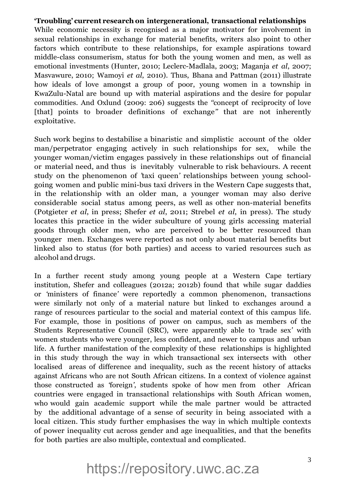#### **'Troubling' current research on intergenerational, transactional relationships**

While economic necessity is recognised as a major motivator for involvement in sexual relationships in exchange for material benefits, writers also point to other factors which contribute to these relationships, for example aspirations toward middle-class consumerism, status for both the young women and men, as well as emotional investments (Hunter, 2010; Leclerc-Madlala, 2003; Maganja *et al*, 2007; Masvawure, 2010; Wamoyi *et al*, 2010). Thus, Bhana and Pattman (2011) illustrate how ideals of love amongst a group of poor, young women in a township in KwaZulu-Natal are bound up with material aspirations and the desire for popular commodities. And Oxlund (2009: 206) suggests the *''*concept of reciprocity of love [that] points to broader definitions of exchange" that are not inherently exploitative.

Such work begins to destabilise a binaristic and simplistic account of the older man/perpetrator engaging actively in such relationships for sex, while the younger woman/victim engages passively in these relationships out of financial or material need, and thus is inevitably vulnerable to risk behaviours. A recent study on the phenomenon of *'*taxi queen*'* relationships between young schoolgoing women and public mini-bus taxi drivers in the Western Cape suggests that, in the relationship with an older man, a younger woman may also derive considerable social status among peers, as well as other non-material benefits (Potgieter *et al*, in press; Shefer *et al*, 2011; Strebel *et al*, in press). The study locates this practice in the wider subculture of young girls accessing material goods through older men, who are perceived to be better resourced than younger men. Exchanges were reported as not only about material benefits but linked also to status (for both parties) and access to varied resources such as alcohol and drugs.

In a further recent study among young people at a Western Cape tertiary institution, Shefer and colleagues (2012a; 2012b) found that while sugar daddies or *'*ministers of finance*'* were reportedly a common phenomenon, transactions were similarly not only of a material nature but linked to exchanges around a range of resources particular to the social and material context of this campus life. For example, those in positions of power on campus, such as members of the Students Representative Council (SRC), were apparently able to *'*trade sex*'* with women students who were younger, less confident, and newer to campus and urban life. A further manifestation of the complexity of these relationships is highlighted in this study through the way in which transactional sex intersects with other localised areas of difference and inequality, such as the recent history of attacks against Africans who are not South African citizens. In a context of violence against those constructed as *'*foreign*'*, students spoke of how men from other African countries were engaged in transactional relationships with South African women, who would gain academic support while the male partner would be attracted by the additional advantage of a sense of security in being associated with a local citizen. This study further emphasises the way in which multiple contexts of power inequality cut across gender and age inequalities, and that the benefits for both parties are also multiple, contextual and complicated.

# https://repository.uwc.ac.za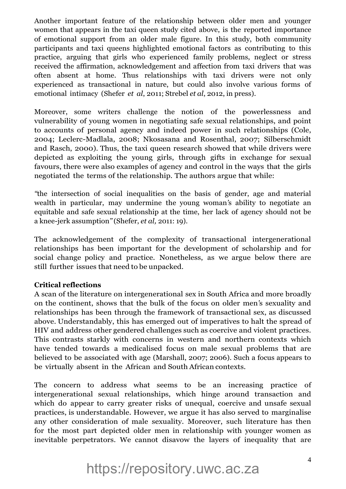Another important feature of the relationship between older men and younger women that appears in the taxi queen study cited above, is the reported importance of emotional support from an older male figure. In this study, both community participants and taxi queens highlighted emotional factors as contributing to this practice, arguing that girls who experienced family problems, neglect or stress received the affirmation, acknowledgement and affection from taxi drivers that was often absent at home. Thus relationships with taxi drivers were not only experienced as transactional in nature, but could also involve various forms of emotional intimacy (Shefer *et al*, 2011; Strebel *et al*, 2012, in press).

Moreover, some writers challenge the notion of the powerlessness and vulnerability of young women in negotiating safe sexual relationships, and point to accounts of personal agency and indeed power in such relationships (Cole, 2004; Leclerc-Madlala, 2008; Nkosasana and Rosenthal, 2007; Silberschmidt and Rasch, 2000). Thus, the taxi queen research showed that while drivers were depicted as exploiting the young girls, through gifts in exchange for sexual favours, there were also examples of agency and control in the ways that the girls negotiated the terms of the relationship. The authors argue that while:

*''*the intersection of social inequalities on the basis of gender, age and material wealth in particular, may undermine the young woman*'*s ability to negotiate an equitable and safe sexual relationship at the time, her lack of agency should not be a knee-jerk assumption*''*(Shefer, *et al,* 2011: 19).

The acknowledgement of the complexity of transactional intergenerational relationships has been important for the development of scholarship and for social change policy and practice. Nonetheless, as we argue below there are still further issues that need to be unpacked.

### **Critical reflections**

A scan of the literature on intergenerational sex in South Africa and more broadly on the continent, shows that the bulk of the focus on older men*'*s sexuality and relationships has been through the framework of transactional sex, as discussed above. Understandably, this has emerged out of imperatives to halt the spread of HIV and address other gendered challenges such as coercive and violent practices. This contrasts starkly with concerns in western and northern contexts which have tended towards a medicalised focus on male sexual problems that are believed to be associated with age (Marshall, 2007; 2006). Such a focus appears to be virtually absent in the African and South African contexts.

The concern to address what seems to be an increasing practice of intergenerational sexual relationships, which hinge around transaction and which do appear to carry greater risks of unequal, coercive and unsafe sexual practices, is understandable. However, we argue it has also served to marginalise any other consideration of male sexuality. Moreover, such literature has then for the most part depicted older men in relationship with younger women as inevitable perpetrators. We cannot disavow the layers of inequality that are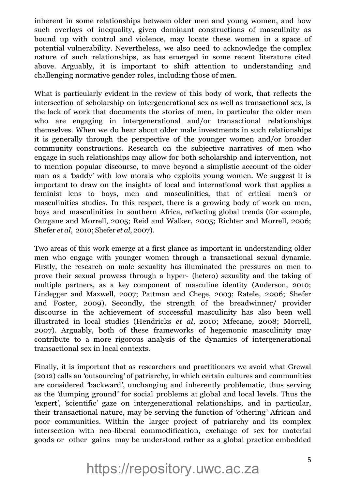inherent in some relationships between older men and young women, and how such overlays of inequality, given dominant constructions of masculinity as bound up with control and violence, may locate these women in a space of potential vulnerability. Nevertheless, we also need to acknowledge the complex nature of such relationships, as has emerged in some recent literature cited above. Arguably, it is important to shift attention to understanding and challenging normative gender roles, including those of men.

What is particularly evident in the review of this body of work, that reflects the intersection of scholarship on intergenerational sex as well as transactional sex, is the lack of work that documents the stories of men, in particular the older men who are engaging in intergenerational and/or transactional relationships themselves. When we do hear about older male investments in such relationships it is generally through the perspective of the younger women and/or broader community constructions. Research on the subjective narratives of men who engage in such relationships may allow for both scholarship and intervention, not to mention popular discourse, to move beyond a simplistic account of the older man as a *'*baddy*'* with low morals who exploits young women. We suggest it is important to draw on the insights of local and international work that applies a feminist lens to boys, men and masculinities, that of critical men*'*s or masculinities studies. In this respect, there is a growing body of work on men, boys and masculinities in southern Africa, reflecting global trends (for example, Ouzgane and Morrell, 2005; Reid and Walker, 2005; Richter and Morrell, 2006; Shefer *et al*, 2010; Shefer *et al*, 2007).

Two areas of this work emerge at a first glance as important in understanding older men who engage with younger women through a transactional sexual dynamic. Firstly, the research on male sexuality has illuminated the pressures on men to prove their sexual prowess through a hyper- (hetero) sexuality and the taking of multiple partners, as a key component of masculine identity (Anderson, 2010; Lindegger and Maxwell, 2007; Pattman and Chege, 2003; Ratele, 2006; Shefer and Foster, 2009). Secondly, the strength of the breadwinner/ provider discourse in the achievement of successful masculinity has also been well illustrated in local studies (Hendricks *et al*, 2010; Mfecane, 2008; Morrell, 2007). Arguably, both of these frameworks of hegemonic masculinity may contribute to a more rigorous analysis of the dynamics of intergenerational transactional sex in local contexts.

Finally, it is important that as researchers and practitioners we avoid what Grewal (2012) calls an *'*outsourcing*'* of patriarchy, in which certain cultures and communities are considered *'*backward*'*, unchanging and inherently problematic, thus serving as the *'*dumping ground*'* for social problems at global and local levels. Thus the *'*expert*'*, *'*scientific*'* gaze on intergenerational relationships, and in particular, their transactional nature, may be serving the function of *'*othering*'* African and poor communities. Within the larger project of patriarchy and its complex intersection with neo-liberal commodification, exchange of sex for material goods or other gains may be understood rather as a global practice embedded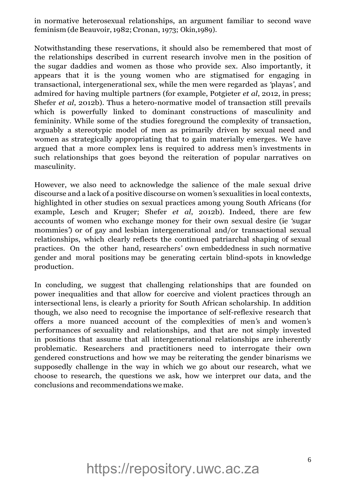in normative heterosexual relationships, an argument familiar to second wave feminism (de Beauvoir, 1982; Cronan, 1973; Okin,1989).

Notwithstanding these reservations, it should also be remembered that most of the relationships described in current research involve men in the position of the sugar daddies and women as those who provide sex. Also importantly, it appears that it is the young women who are stigmatised for engaging in transactional, intergenerational sex, while the men were regarded as *'*playas*'*, and admired for having multiple partners (for example, Potgieter *et al*, 2012, in press; Shefer *et al*, 2012b). Thus a hetero-normative model of transaction still prevails which is powerfully linked to dominant constructions of masculinity and femininity. While some of the studies foreground the complexity of transaction, arguably a stereotypic model of men as primarily driven by sexual need and women as strategically appropriating that to gain materially emerges. We have argued that a more complex lens is required to address men*'*s investments in such relationships that goes beyond the reiteration of popular narratives on masculinity.

However, we also need to acknowledge the salience of the male sexual drive discourse and a lack of a positive discourse on women*'*s sexualities in local contexts, highlighted in other studies on sexual practices among young South Africans (for example, Lesch and Kruger; Shefer *et al*, 2012b). Indeed, there are few accounts of women who exchange money for their own sexual desire (ie *'*sugar mommies*'*) or of gay and lesbian intergenerational and/or transactional sexual relationships, which clearly reflects the continued patriarchal shaping of sexual practices. On the other hand, researchers*'* own embeddedness in such normative gender and moral positions may be generating certain blind-spots in knowledge production.

In concluding, we suggest that challenging relationships that are founded on power inequalities and that allow for coercive and violent practices through an intersectional lens, is clearly a priority for South African scholarship. In addition though, we also need to recognise the importance of self-reflexive research that offers a more nuanced account of the complexities of men*'*s and women*'*s performances of sexuality and relationships, and that are not simply invested in positions that assume that all intergenerational relationships are inherently problematic. Researchers and practitioners need to interrogate their own gendered constructions and how we may be reiterating the gender binarisms we supposedly challenge in the way in which we go about our research, what we choose to research, the questions we ask, how we interpret our data, and the conclusions and recommendations we make.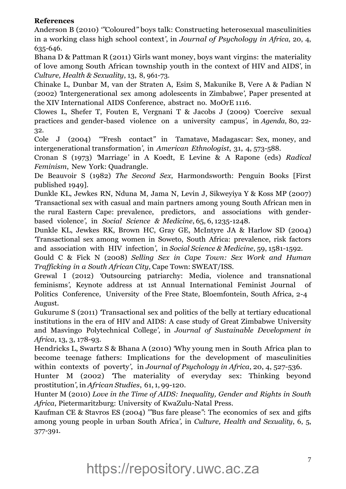### **References**

Anderson B (2010) *'''*Coloured*''* boys talk: Constructing heterosexual masculinities in a working class high school context*'*, in *Journal of Psychology in Africa*, 20, 4, 635-646.

Bhana D & Pattman R (2011) *'*Girls want money, boys want virgins: the materiality of love among South African township youth in the context of HIV and AIDS*'*, in *Culture, Health & Sexuality*, 13, 8, 961-73.

Chinake L, Dunbar M, van der Straten A, Esim S, Makunike B, Vere A & Padian N (2002) *'*Intergenerational sex among adolescents in Zimbabwe*'*, Paper presented at the XIV International AIDS Conference, abstract no. MoOrE 1116.

Clowes L, Shefer T, Fouten E, Vergnani T & Jacobs J (2009) *'*Coercive sexual practices and gender-based violence on a university campus*'*, in *Agenda*, 80, 22- 32.

Cole J (2004) *'''*Fresh contact*''* in Tamatave, Madagascar: Sex, money, and intergenerational transformation*'*, in *American Ethnologist*, 31, 4, 573-588.

Cronan S (1973) *'*Marriage*'* in A Koedt, E Levine & A Rapone (eds) *Radical Feminism*, New York: Quadrangle.

De Beauvoir S (1982) *The Second Sex*, Harmondsworth: Penguin Books [First published 1949].

Dunkle KL, Jewkes RN, Nduna M, Jama N, Levin J, Sikweyiya Y & Koss MP (2007) *'*Transactional sex with casual and main partners among young South African men in the rural Eastern Cape: prevalence, predictors, and associations with genderbased violence*'*, in *Social Science & Medicine*, 65, 6, 1235-1248.

Dunkle KL, Jewkes RK, Brown HC, Gray GE, McIntyre JA & Harlow SD (2004) *'*Transactional sex among women in Soweto, South Africa: prevalence, risk factors and association with HIV infection*'*, in *Social Science & Medicine*, 59, 1581-1592.

Gould C & Fick N (2008) *Selling Sex in Cape Town: Sex Work and Human Trafficking in a South African City*, Cape Town: SWEAT/ISS.

Grewal I (2012) *'*Outsourcing patriarchy: Media, violence and transnational feminisms*'*, Keynote address at 1st Annual International Feminist Journal of Politics Conference, University of the Free State, Bloemfontein, South Africa, 2-4 August.

Gukurume S (2011) *'*Transactional sex and politics of the belly at tertiary educational institutions in the era of HIV and AIDS: A case study of Great Zimbabwe University and Masvingo Polytechnical College*'*, in *Journal of Sustainable Development in Africa*, 13, 3, 178-93.

Hendricks L, Swartz S & Bhana A (2010) *'*Why young men in South Africa plan to become teenage fathers: Implications for the development of masculinities within contexts of poverty*'*, in *Journal of Psychology in Africa*, 20, 4, 527-536.

Hunter M (2002) *'*The materiality of everyday sex: Thinking beyond prostitution*'*, in *African Studies*, 61, 1, 99-120.

Hunter M (2010) *Love in the Time of AIDS: Inequality, Gender and Rights in South Africa*, Pietermaritzburg: University of KwaZulu-Natal Press.

Kaufman CE & Stavros ES (2004) *'''*Bus fare please*''*: The economics of sex and gifts among young people in urban South Africa*'*, in *Culture, Health and Sexuality*, 6, 5, 377-391.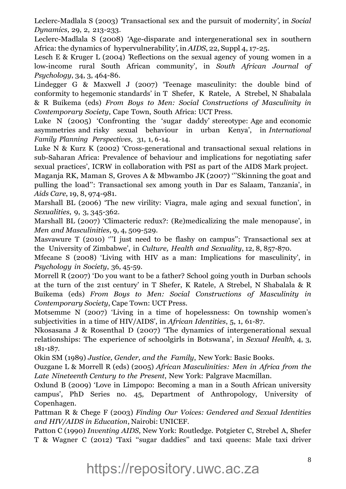Leclerc-Madlala S (2003) *'*Transactional sex and the pursuit of modernity*'*, in *Social Dynamics*, 29, 2, 213-233.

Leclerc-Madlala S (2008) *'*Age-disparate and intergenerational sex in southern Africa: the dynamics of hypervulnerability*'*, in *AIDS*, 22, Suppl 4, 17-25.

Lesch E & Kruger L (2004) *'*Reflections on the sexual agency of young women in a low-income rural South African community', in *South African Journal of Psychology*, 34, 3, 464-86.

Lindegger G & Maxwell J (2007) 'Teenage masculinity: the double bind of conformity to hegemonic standards' in T Shefer, K Ratele, A Strebel, N Shabalala & R Buikema (eds) *From Boys to Men: Social Constructions of Masculinity in Contemporary Society*, Cape Town, South Africa: UCT Press.

Luke N (2005) 'Confronting the 'sugar daddy' stereotype: Age and economic asymmetries and risky sexual behaviour in urban Kenya', in *International Family Planning Perspectives*, 31, 1, 6-14.

Luke N & Kurz K (2002) 'Cross-generational and transactional sexual relations in sub-Saharan Africa: Prevalence of behaviour and implications for negotiating safer sexual practices', ICRW in collaboration with PSI as part of the AIDS Mark project.

Maganja RK, Maman S, Groves A & Mbwambo JK (2007) '''Skinning the goat and pulling the load'': Transactional sex among youth in Dar es Salaam, Tanzania', in *Aids Care*, 19, 8, 974-981.

Marshall BL (2006) 'The new virility: Viagra, male aging and sexual function', in *Sexualities*, 9, 3, 345-362.

Marshall BL (2007) 'Climacteric redux?: (Re)medicalizing the male menopause', in *Men and Masculinities*, 9, 4, 509-529.

Masvawure T (2010) "I just need to be flashy on campus": Transactional sex at the University of Zimbabwe', in *Culture, Health and Sexuality*, 12, 8, 857-870.

Mfecane S (2008) 'Living with HIV as a man: Implications for masculinity', in *Psychology in Society*, 36, 45-59.

Morrell R (2007) 'Do you want to be a father? School going youth in Durban schools at the turn of the 21st century' in T Shefer, K Ratele, A Strebel, N Shabalala & R Buikema (eds) *From Boys to Men: Social Constructions of Masculinity in Contemporary Society*, Cape Town: UCT Press.

Motsemme N (2007) 'Living in a time of hopelessness: On township women's subjectivities in a time of HIV/AIDS', in *African Identities*, 5, 1, 61-87.

Nkosasana J & Rosenthal D (2007) 'The dynamics of intergenerational sexual relationships: The experience of schoolgirls in Botswana', in *Sexual Health*, 4, 3, 181-187.

Okin SM (1989) *Justice, Gender, and the Family*, New York: Basic Books.

Ouzgane L & Morrell R (eds) (2005) *African Masculinities: Men in Africa from the Late Nineteenth Century to the Present*, New York: Palgrave Macmillan.

Oxlund B (2009) 'Love in Limpopo: Becoming a man in a South African university campus', PhD Series no. 45, Department of Anthropology, University of Copenhagen.

Pattman R & Chege F (2003) *Finding Our Voices: Gendered and Sexual Identities and HIV/AIDS in Education*, Nairobi: UNICEF.

Patton C (1990) *Inventing AIDS*, New York: Routledge. Potgieter C, Strebel A, Shefer T & Wagner C (2012) 'Taxi ''sugar daddies'' and taxi queens: Male taxi driver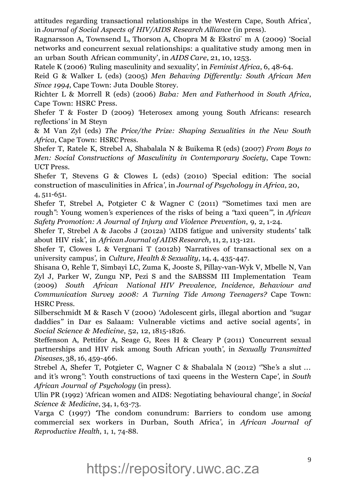attitudes regarding transactional relationships in the Western Cape, South Africa', in *Journal of Social Aspects of HIV/AIDS Research Alliance* (in press).

Ragnarsson A, Townsend L, Thorson A, Chopra M & Ekstro¨ m A (2009) 'Social networks and concurrent sexual relationships: a qualitative study among men in an urban South African community', in *AIDS Care*, 21, 10, 1253.

Ratele K (2006) *'*Ruling masculinity and sexuality*'*, in *Feminist Africa*, 6, 48-64.

Reid G & Walker L (eds) (2005) *Men Behaving Differently: South African Men Since 1994*, Cape Town: Juta Double Storey.

Richter L & Morrell R (eds) (2006) *Baba: Men and Fatherhood in South Africa*, Cape Town: HSRC Press.

Shefer T & Foster D (2009) *'*Heterosex among young South Africans: research re*fl*ections*'* in M Steyn

& M Van Zyl (eds) *The Price/the Prize: Shaping Sexualities in the New South Africa*, Cape Town: HSRC Press.

Shefer T, Ratele K, Strebel A, Shabalala N & Buikema R (eds) (2007) *From Boys to Men: Social Constructions of Masculinity in Contemporary Society*, Cape Town: UCT Press.

Shefer T, Stevens G & Clowes L (eds) (2010) *'*Special edition: The social construction of masculinities in Africa*'*, in *Journal of Psychology in Africa*, 20, 4, 511-651.

Shefer T, Strebel A, Potgieter C & Wagner C (2011) *'''*Sometimes taxi men are rough*''*: Young women*'*s experiences of the risks of being a *''*taxi queen*'''*, in *African Safety Promotion: A Journal of Injury and Violence Prevention*, 9, 2, 1-24.

Shefer T, Strebel A & Jacobs J (2012a) *'*AIDS fatigue and university students*'* talk about HIV risk*'*, in *African Journal of AIDS Research*, 11, 2, 113-121.

Shefer T, Clowes L & Vergnani T (2012b) *'*Narratives of transactional sex on a university campus*'*, in *Culture, Health & Sexuality*, 14, 4, 435-447.

Shisana O, Rehle T, Simbayi LC, Zuma K, Jooste S, Pillay-van-Wyk V, Mbelle N, Van Zyl J, Parker W, Zungu NP, Pezi S and the SABSSM III Implementation Team (2009) *South African National HIV Prevalence, Incidence, Behaviour and Communication Survey 2008: A Turning Tide Among Teenagers?* Cape Town: HSRC Press.

Silberschmidt M & Rasch V (2000) *'*Adolescent girls, illegal abortion and *''*sugar daddies*''* in Dar es Salaam: Vulnerable victims and active social agents*'*, in *Social Science & Medicine*, 52, 12, 1815-1826.

Steffenson A, Pettifor A, Seage G, Rees H & Cleary P (2011) *'*Concurrent sexual partnerships and HIV risk among South African youth*'*, in *Sexually Transmitted Diseases*, 38, 16, 459-466.

Strebel A, Shefer T, Potgieter C, Wagner C & Shabalala N (2012) *'''*She*'*s a slut ... and it*'*s wrong*''*: Youth constructions of taxi queens in the Western Cape*'*, in *South African Journal of Psychology* (in press).

Ulin PR (1992) *'*African women and AIDS: Negotiating behavioural change*'*, in *Social Science & Medicine*, 34, 1, 63-73.

Varga C (1997) *'*The condom conundrum: Barriers to condom use among commercial sex workers in Durban, South Africa*'*, in *African Journal of Reproductive Health*, 1, 1, 74-88.